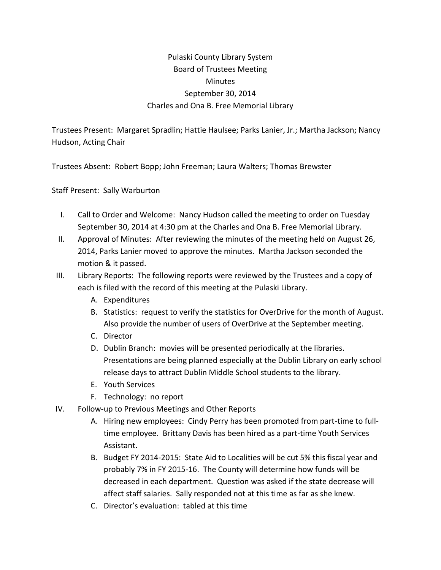## Pulaski County Library System Board of Trustees Meeting **Minutes** September 30, 2014 Charles and Ona B. Free Memorial Library

Trustees Present: Margaret Spradlin; Hattie Haulsee; Parks Lanier, Jr.; Martha Jackson; Nancy Hudson, Acting Chair

Trustees Absent: Robert Bopp; John Freeman; Laura Walters; Thomas Brewster

Staff Present: Sally Warburton

- I. Call to Order and Welcome: Nancy Hudson called the meeting to order on Tuesday September 30, 2014 at 4:30 pm at the Charles and Ona B. Free Memorial Library.
- II. Approval of Minutes: After reviewing the minutes of the meeting held on August 26, 2014, Parks Lanier moved to approve the minutes. Martha Jackson seconded the motion & it passed.
- III. Library Reports: The following reports were reviewed by the Trustees and a copy of each is filed with the record of this meeting at the Pulaski Library.
	- A. Expenditures
	- B. Statistics: request to verify the statistics for OverDrive for the month of August. Also provide the number of users of OverDrive at the September meeting.
	- C. Director
	- D. Dublin Branch: movies will be presented periodically at the libraries. Presentations are being planned especially at the Dublin Library on early school release days to attract Dublin Middle School students to the library.
	- E. Youth Services
	- F. Technology: no report
- IV. Follow-up to Previous Meetings and Other Reports
	- A. Hiring new employees: Cindy Perry has been promoted from part-time to fulltime employee. Brittany Davis has been hired as a part-time Youth Services Assistant.
	- B. Budget FY 2014-2015: State Aid to Localities will be cut 5% this fiscal year and probably 7% in FY 2015-16. The County will determine how funds will be decreased in each department. Question was asked if the state decrease will affect staff salaries. Sally responded not at this time as far as she knew.
	- C. Director's evaluation: tabled at this time